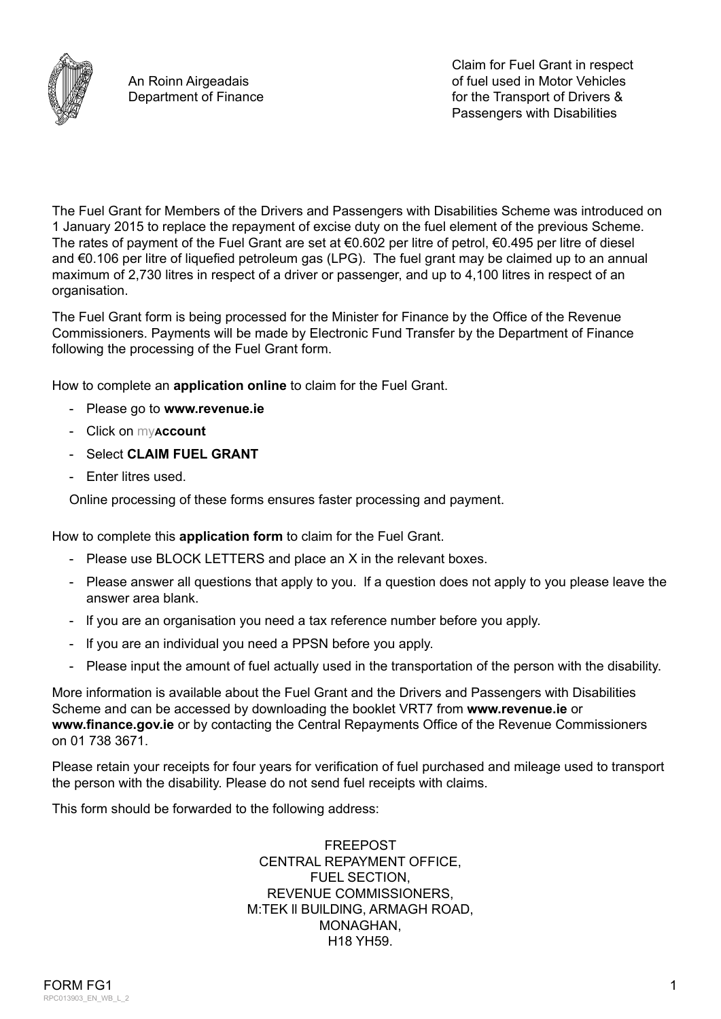

The Fuel Grant for Members of the Drivers and Passengers with Disabilities Scheme was introduced on 1 January 2015 to replace the repayment of excise duty on the fuel element of the previous Scheme. The rates of payment of the Fuel Grant are set at  $\epsilon$ 0.602 per litre of petrol,  $\epsilon$ 0.495 per litre of diesel and €0.106 per litre of liquefied petroleum gas (LPG). The fuel grant may be claimed up to an annual maximum of 2,730 litres in respect of a driver or passenger, and up to 4,100 litres in respect of an organisation.

The Fuel Grant form is being processed for the Minister for Finance by the Office of the Revenue Commissioners. Payments will be made by Electronic Fund Transfer by the Department of Finance following the processing of the Fuel Grant form.

How to complete an **application online** to claim for the Fuel Grant.

- Please go to **[www.revenue.ie](https://www.revenue.ie/en/Home.aspx)**
- Click on my**account**
- Select **CLAIM FUEL GRANT**
- Enter litres used.

Online processing of these forms ensures faster processing and payment.

How to complete this **application form** to claim for the Fuel Grant.

- Please use BLOCK LETTERS and place an X in the relevant boxes.
- Please answer all questions that apply to you. lf a question does not apply to you please leave the answer area blank.
- lf you are an organisation you need a tax reference number before you apply.
- lf you are an individual you need a PPSN before you apply.
- Please input the amount of fuel actually used in the transportation of the person with the disability.

More information is available about the Fuel Grant and the Drivers and Passengers with Disabilities Scheme and can be accessed by downloading the booklet VRT7 from **[www.revenue.ie](https://www.revenue.ie/en/importing-vehicles-duty-free-allowances/documents/vrt/vrt7.pdf)** or **[www.finance.gov.ie](https://www.finance.gov.ie/corporate/foi/foi-publication-scheme/functions-and-services-provided-or-to-be-provided-to-the-public/)** or by contacting the Central Repayments Office of the Revenue Commissioners on 01 738 3671.

Please retain your receipts for four years for verification of fuel purchased and mileage used to transport the person with the disability. Please do not send fuel receipts with claims.

This form should be forwarded to the following address:

FREEPOST CENTRAL REPAYMENT OFFICE, FUEL SECTION, REVENUE COMMISSIONERS, M:TEK ll BUlLDlNG, ARMAGH ROAD, MONAGHAN, H18 YH59.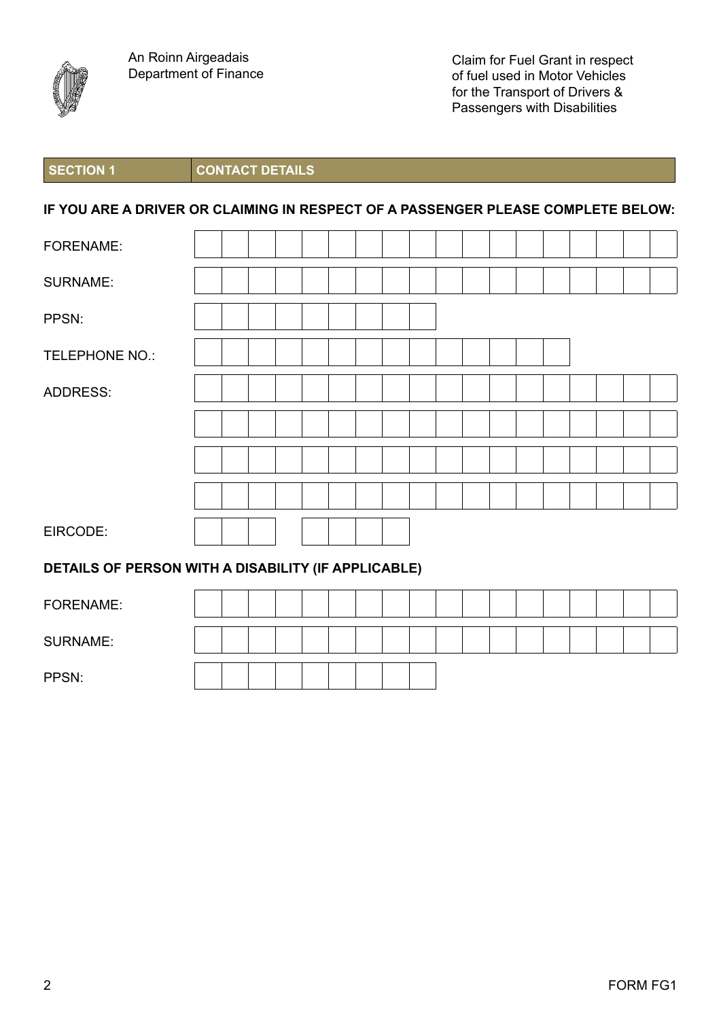

**SECTION 1 CONTACT DETAILS**

## **IF YOU ARE A DRIVER OR CLAIMING IN RESPECT OF A PASSENGER PLEASE COMPLETE BELOW:**

| <b>FORENAME:</b>                                    |  |  |  |  |  |  |  |  |  |  |  |  |  |
|-----------------------------------------------------|--|--|--|--|--|--|--|--|--|--|--|--|--|
| <b>SURNAME:</b>                                     |  |  |  |  |  |  |  |  |  |  |  |  |  |
| PPSN:                                               |  |  |  |  |  |  |  |  |  |  |  |  |  |
| TELEPHONE NO.:                                      |  |  |  |  |  |  |  |  |  |  |  |  |  |
| <b>ADDRESS:</b>                                     |  |  |  |  |  |  |  |  |  |  |  |  |  |
|                                                     |  |  |  |  |  |  |  |  |  |  |  |  |  |
|                                                     |  |  |  |  |  |  |  |  |  |  |  |  |  |
|                                                     |  |  |  |  |  |  |  |  |  |  |  |  |  |
| EIRCODE:                                            |  |  |  |  |  |  |  |  |  |  |  |  |  |
| DETAILS OF PERSON WITH A DISABILITY (IF APPLICABLE) |  |  |  |  |  |  |  |  |  |  |  |  |  |
| $-0 - -1$                                           |  |  |  |  |  |  |  |  |  |  |  |  |  |

| FORENAME:       |  |  |  |  |  |  |  |  |  |
|-----------------|--|--|--|--|--|--|--|--|--|
| <b>SURNAME:</b> |  |  |  |  |  |  |  |  |  |
| PPSN:           |  |  |  |  |  |  |  |  |  |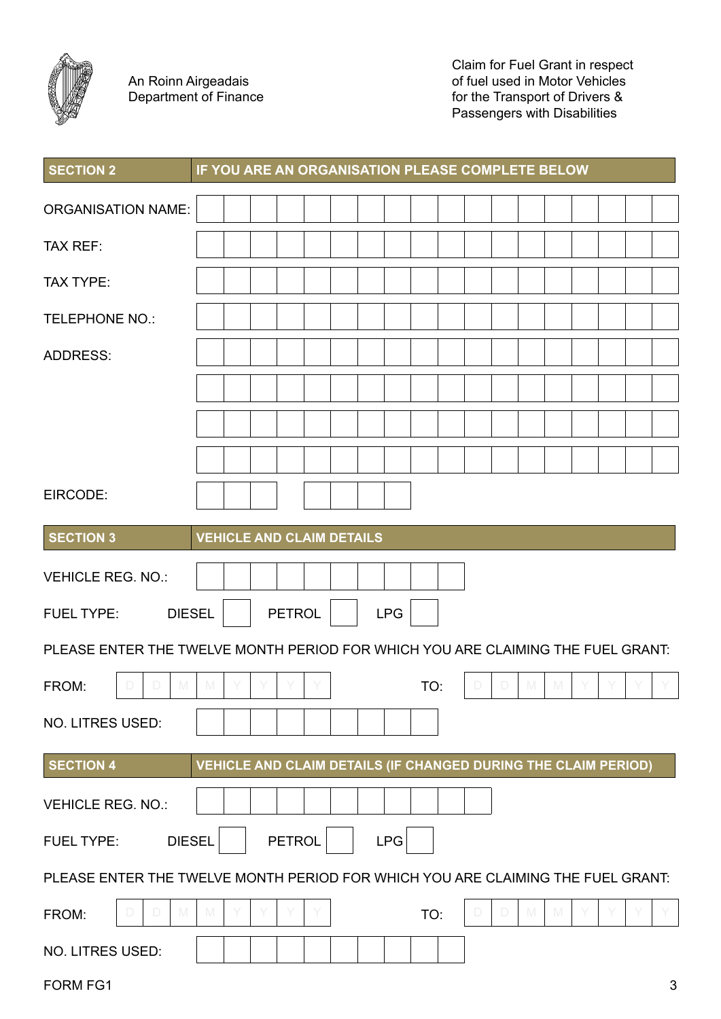

An Roinn Airgeadais Department of Finance Claim for Fuel Grant in respect of fuel used in Motor Vehicles for the Transport of Drivers & Passengers with Disabilities

| <b>SECTION 2</b>                                                                |             |               | IF YOU ARE AN ORGANISATION PLEASE COMPLETE BELOW               |            |     |             |                    |  |                |
|---------------------------------------------------------------------------------|-------------|---------------|----------------------------------------------------------------|------------|-----|-------------|--------------------|--|----------------|
| <b>ORGANISATION NAME:</b>                                                       |             |               |                                                                |            |     |             |                    |  |                |
| <b>TAX REF:</b>                                                                 |             |               |                                                                |            |     |             |                    |  |                |
| <b>TAX TYPE:</b>                                                                |             |               |                                                                |            |     |             |                    |  |                |
| <b>TELEPHONE NO.:</b>                                                           |             |               |                                                                |            |     |             |                    |  |                |
| <b>ADDRESS:</b>                                                                 |             |               |                                                                |            |     |             |                    |  |                |
|                                                                                 |             |               |                                                                |            |     |             |                    |  |                |
|                                                                                 |             |               |                                                                |            |     |             |                    |  |                |
|                                                                                 |             |               |                                                                |            |     |             |                    |  |                |
| EIRCODE:                                                                        |             |               |                                                                |            |     |             |                    |  |                |
| <b>SECTION 3</b>                                                                |             |               | <b>VEHICLE AND CLAIM DETAILS</b>                               |            |     |             |                    |  |                |
| <b>VEHICLE REG. NO.:</b>                                                        |             |               |                                                                |            |     |             |                    |  |                |
| <b>DIESEL</b><br><b>FUEL TYPE:</b>                                              |             | <b>PETROL</b> |                                                                | <b>LPG</b> |     |             |                    |  |                |
| PLEASE ENTER THE TWELVE MONTH PERIOD FOR WHICH YOU ARE CLAIMING THE FUEL GRANT: |             |               |                                                                |            |     |             |                    |  |                |
| $\Box$<br>M<br>D<br>FROM:                                                       | M           |               |                                                                |            | TO: | $\Box$<br>D | M<br>$\mathbb N$   |  |                |
| NO. LITRES USED:                                                                |             |               |                                                                |            |     |             |                    |  |                |
| <b>SECTION 4</b>                                                                |             |               | VEHICLE AND CLAIM DETAILS (IF CHANGED DURING THE CLAIM PERIOD) |            |     |             |                    |  |                |
| <b>VEHICLE REG. NO.:</b>                                                        |             |               |                                                                |            |     |             |                    |  |                |
| <b>DIESEL</b><br><b>FUEL TYPE:</b>                                              |             | <b>PETROL</b> |                                                                | <b>LPG</b> |     |             |                    |  |                |
| PLEASE ENTER THE TWELVE MONTH PERIOD FOR WHICH YOU ARE CLAIMING THE FUEL GRANT: |             |               |                                                                |            |     |             |                    |  |                |
| M<br>$\Box$<br>FROM:<br>D                                                       | $\mathbb N$ |               |                                                                |            | TO: | $\Box$<br>D | ${\mathbb M}$<br>M |  |                |
| NO. LITRES USED:                                                                |             |               |                                                                |            |     |             |                    |  |                |
| FORM FG1                                                                        |             |               |                                                                |            |     |             |                    |  | $\mathfrak{S}$ |